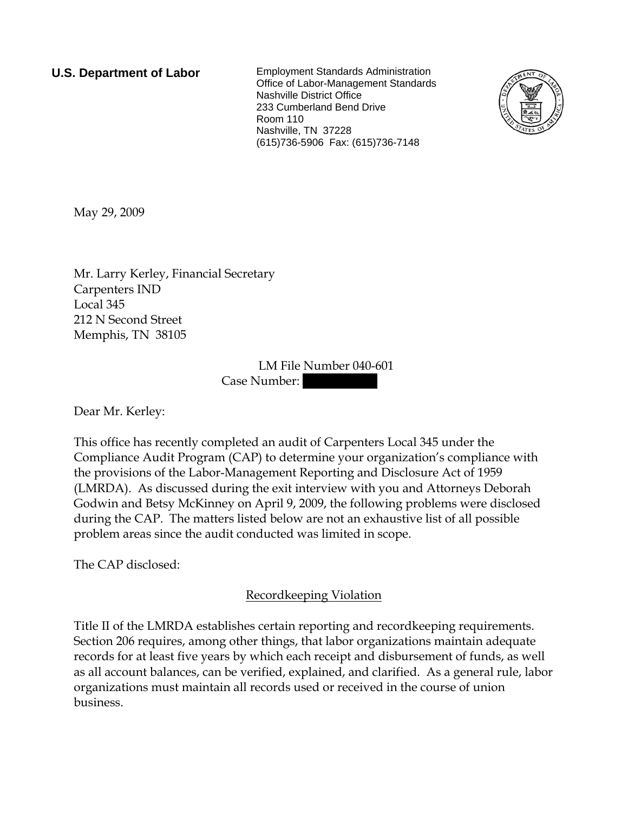**U.S. Department of Labor** Employment Standards Administration Office of Labor-Management Standards Nashville District Office 233 Cumberland Bend Drive Room 110 Nashville, TN 37228 (615)736-5906 Fax: (615)736-7148



May 29, 2009

Mr. Larry Kerley, Financial Secretary Carpenters IND Local 345 212 N Second Street Memphis, TN 38105

> LM File Number 040-601 Case Number:

Dear Mr. Kerley:

This office has recently completed an audit of Carpenters Local 345 under the Compliance Audit Program (CAP) to determine your organization's compliance with the provisions of the Labor-Management Reporting and Disclosure Act of 1959 (LMRDA). As discussed during the exit interview with you and Attorneys Deborah Godwin and Betsy McKinney on April 9, 2009, the following problems were disclosed during the CAP. The matters listed below are not an exhaustive list of all possible problem areas since the audit conducted was limited in scope.

The CAP disclosed:

Recordkeeping Violation

Title II of the LMRDA establishes certain reporting and recordkeeping requirements. Section 206 requires, among other things, that labor organizations maintain adequate records for at least five years by which each receipt and disbursement of funds, as well as all account balances, can be verified, explained, and clarified. As a general rule, labor organizations must maintain all records used or received in the course of union business.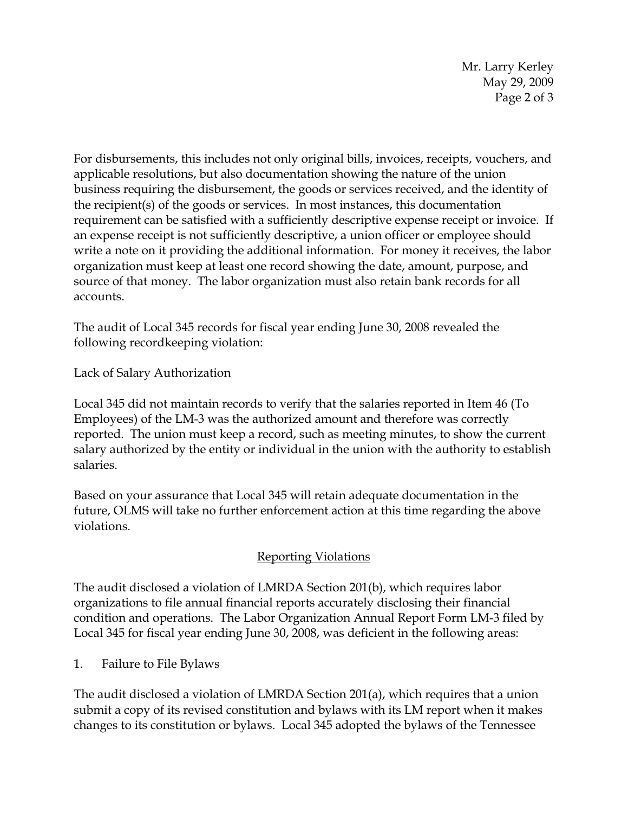Mr. Larry Kerley May 29, 2009 Page 2 of 3

For disbursements, this includes not only original bills, invoices, receipts, vouchers, and applicable resolutions, but also documentation showing the nature of the union business requiring the disbursement, the goods or services received, and the identity of the recipient(s) of the goods or services. In most instances, this documentation requirement can be satisfied with a sufficiently descriptive expense receipt or invoice. If an expense receipt is not sufficiently descriptive, a union officer or employee should write a note on it providing the additional information. For money it receives, the labor organization must keep at least one record showing the date, amount, purpose, and source of that money. The labor organization must also retain bank records for all accounts.

The audit of Local 345 records for fiscal year ending June 30, 2008 revealed the following recordkeeping violation:

Lack of Salary Authorization

Local 345 did not maintain records to verify that the salaries reported in Item 46 (To Employees) of the LM-3 was the authorized amount and therefore was correctly reported. The union must keep a record, such as meeting minutes, to show the current salary authorized by the entity or individual in the union with the authority to establish salaries.

Based on your assurance that Local 345 will retain adequate documentation in the future, OLMS will take no further enforcement action at this time regarding the above violations.

## Reporting Violations

The audit disclosed a violation of LMRDA Section 201(b), which requires labor organizations to file annual financial reports accurately disclosing their financial condition and operations. The Labor Organization Annual Report Form LM-3 filed by Local 345 for fiscal year ending June 30, 2008, was deficient in the following areas:

1. Failure to File Bylaws

The audit disclosed a violation of LMRDA Section 201(a), which requires that a union submit a copy of its revised constitution and bylaws with its LM report when it makes changes to its constitution or bylaws. Local 345 adopted the bylaws of the Tennessee